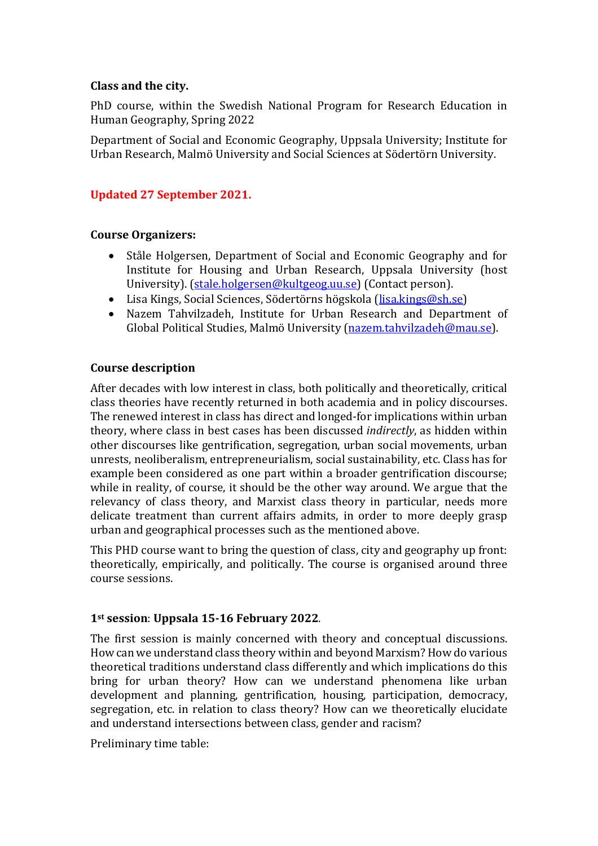### **Class and the city.**

PhD course, within the Swedish National Program for Research Education in Human Geography, Spring 2022

Department of Social and Economic Geography, Uppsala University; Institute for Urban Research, Malmö University and Social Sciences at Södertörn University.

## **Updated 27 September 2021.**

### **Course Organizers:**

- Ståle Holgersen, Department of Social and Economic Geography and for Institute for Housing and Urban Research, Uppsala University (host University). [\(stale.holgersen@kultgeog.uu.se\)](mailto:stale.holgersen@kultgeog.uu.se) (Contact person).
- Lisa Kings, Social Sciences, Södertörns högskola [\(lisa.kings@sh.se\)](mailto:lisa.kings@sh.se)
- Nazem Tahvilzadeh, Institute for Urban Research and Department of Global Political Studies, Malmö University [\(nazem.tahvilzadeh@mau.se\)](mailto:nazem.tahvilzadeh@mau.se).

#### **Course description**

After decades with low interest in class, both politically and theoretically, critical class theories have recently returned in both academia and in policy discourses. The renewed interest in class has direct and longed-for implications within urban theory, where class in best cases has been discussed *indirectly*, as hidden within other discourses like gentrification, segregation, urban social movements, urban unrests, neoliberalism, entrepreneurialism, social sustainability, etc. Class has for example been considered as one part within a broader gentrification discourse; while in reality, of course, it should be the other way around. We argue that the relevancy of class theory, and Marxist class theory in particular, needs more delicate treatment than current affairs admits, in order to more deeply grasp urban and geographical processes such as the mentioned above.

This PHD course want to bring the question of class, city and geography up front: theoretically, empirically, and politically. The course is organised around three course sessions.

### **1st session**: **Uppsala 15-16 February 2022**.

The first session is mainly concerned with theory and conceptual discussions. How can we understand class theory within and beyond Marxism? How do various theoretical traditions understand class differently and which implications do this bring for urban theory? How can we understand phenomena like urban development and planning, gentrification, housing, participation, democracy, segregation, etc. in relation to class theory? How can we theoretically elucidate and understand intersections between class, gender and racism?

Preliminary time table: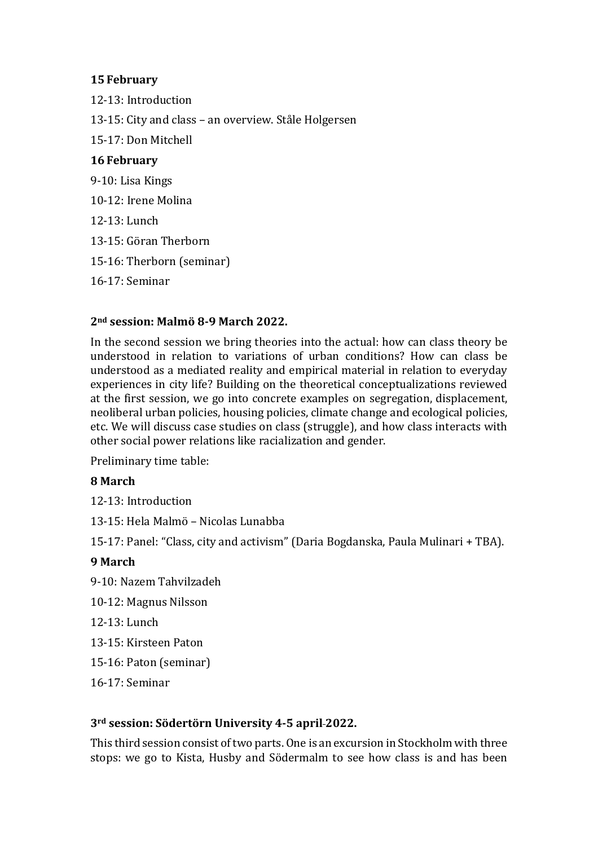## **15February**

12-13: Introduction 13-15: City and class – an overview. Ståle Holgersen 15-17: Don Mitchell **16 February** 9-10: Lisa Kings 10-12: Irene Molina 12-13: Lunch 13-15: Göran Therborn 15-16: Therborn (seminar) 16-17: Seminar

### **2nd session: Malmö 8-9 March 2022.**

In the second session we bring theories into the actual: how can class theory be understood in relation to variations of urban conditions? How can class be understood as a mediated reality and empirical material in relation to everyday experiences in city life? Building on the theoretical conceptualizations reviewed at the first session, we go into concrete examples on segregation, displacement, neoliberal urban policies, housing policies, climate change and ecological policies, etc. We will discuss case studies on class (struggle), and how class interacts with other social power relations like racialization and gender.

Preliminary time table:

### **8 March**

12-13: Introduction

13-15: Hela Malmö – Nicolas Lunabba

15-17: Panel: "Class, city and activism" (Daria Bogdanska, Paula Mulinari + TBA).

### **9 March**

9-10: Nazem Tahvilzadeh

- 10-12: Magnus Nilsson
- 12-13: Lunch
- 13-15: Kirsteen Paton
- 15-16: Paton (seminar)

16-17: Seminar

### **3rd session: Södertörn University 4-5 april 2022.**

This third session consist of two parts. One is an excursion in Stockholm with three stops: we go to Kista, Husby and Södermalm to see how class is and has been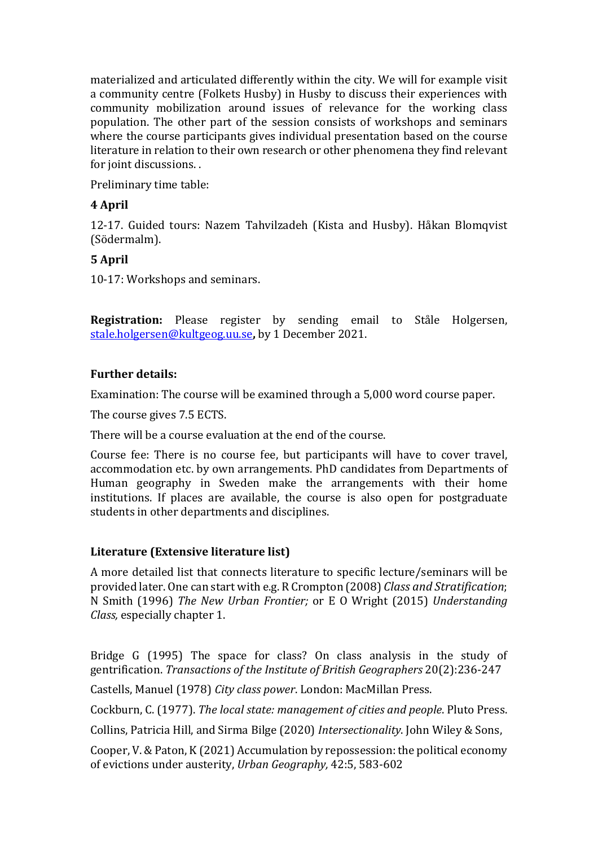materialized and articulated differently within the city. We will for example visit a community centre (Folkets Husby) in Husby to discuss their experiences with community mobilization around issues of relevance for the working class population. The other part of the session consists of workshops and seminars where the course participants gives individual presentation based on the course literature in relation to their own research or other phenomena they find relevant for joint discussions. .

Preliminary time table:

# **4 April**

12-17. Guided tours: Nazem Tahvilzadeh (Kista and Husby). Håkan Blomqvist (Södermalm).

# **5 April**

10-17: Workshops and seminars.

**Registration:** Please register by sending email to Ståle Holgersen, [stale.holgersen@kultgeog.uu.se](mailto:stale.holgersen@kultgeog.uu.se)**,** by 1 December 2021.

## **Further details:**

Examination: The course will be examined through a 5,000 word course paper.

The course gives 7.5 ECTS.

There will be a course evaluation at the end of the course.

Course fee: There is no course fee, but participants will have to cover travel, accommodation etc. by own arrangements. PhD candidates from Departments of Human geography in Sweden make the arrangements with their home institutions. If places are available, the course is also open for postgraduate students in other departments and disciplines.

# **Literature (Extensive literature list)**

A more detailed list that connects literature to specific lecture/seminars will be provided later. One can start with e.g. R Crompton (2008) *Class and Stratification*; N Smith (1996) *The New Urban Frontier;* or E O Wright (2015) *Understanding Class,* especially chapter 1.

Bridge G (1995) The space for class? On class analysis in the study of gentrification. *Transactions of the Institute of British Geographers* 20(2):236-247

Castells, Manuel (1978) *City class power*. London: MacMillan Press.

Cockburn, C. (1977). *The local state: management of cities and people*. Pluto Press.

Collins, Patricia Hill, and Sirma Bilge (2020) *Intersectionality*. John Wiley & Sons,

Cooper, V. & Paton, K (2021) Accumulation by repossession: the political economy of evictions under austerity, *Urban Geography,* 42:5, 583-602